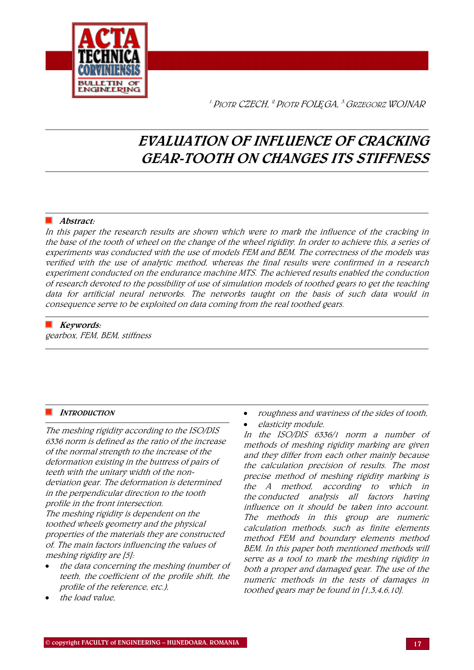

1.PIOTR CZECH, 2.PIOTR FOL*Ę*GA, 3.GRZEGORZ WOJNAR

# EVALUATION OF INFLUENCE OF CRACKING GEAR-TOOTH ON CHANGES ITS STIFFNESS

## Abstract:

In this paper the research results are shown which were to mark the influence of the cracking in the base of the tooth of wheel on the change of the wheel rigidity. In order to achieve this, a series of experiments was conducted with the use of models FEM and BEM. The correctness of the models was verified with the use of analytic method, whereas the final results were confirmed in a research experiment conducted on the endurance machine MTS. The achieved results enabled the conduction of research devoted to the possibility of use of simulation models of toothed gears to get the teaching data for artificial neural networks. The networks taught on the basis of such data would in consequence serve to be exploited on data coming from the real toothed gears.

# $\blacksquare$  Keywords:

gearbox, FEM, BEM, stiffness

## **INTRODUCTION**

The meshing rigidity according to the ISO/DIS 6336 norm is defined as the ratio of the increase of the normal strength to the increase of the deformation existing in the buttress of pairs of teeth with the unitary width of the nondeviation gear. The deformation is determined in the perpendicular direction to the tooth profile in the front intersection. The meshing rigidity is dependent on the toothed wheels geometry and the physical properties of the materials they are constructed of. The main factors influencing the values of meshing rigidity are [5]:

- the data concerning the meshing (number of teeth, the coefficient of the profile shift, the profile of the reference, etc.),
- the load value,
- roughness and waviness of the sides of tooth,
- elasticity module.

In the ISO/DIS 6336/1 norm a number of methods of meshing rigidity marking are given and they differ from each other mainly because the calculation precision of results. The most precise method of meshing rigidity marking is the A method, according to which in the conducted analysis all factors having influence on it should be taken into account. The methods in this group are numeric calculation methods, such as finite elements method FEM and boundary elements method BEM. In this paper both mentioned methods will serve as a tool to mark the meshing rigidity in both a proper and damaged gear. The use of the numeric methods in the tests of damages in toothed gears may be found in [1,3,4,6,10].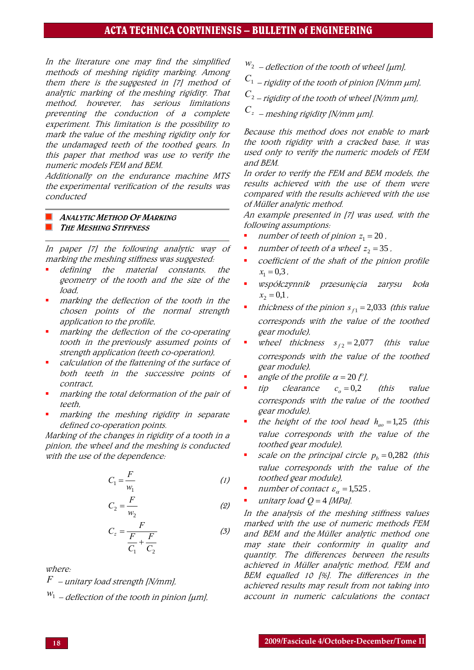## ACTA TECHNICA CORVINIENSIS – BULLETIN of ENGINEERING

In the literature one may find the simplified methods of meshing rigidity marking. Among them there is the suggested in [7] method of analytic marking of the meshing rigidity. That method, however, has serious limitations preventing the conduction of a complete experiment. This limitation is the possibility to mark the value of the meshing rigidity only for the undamaged teeth of the toothed gears. In this paper that method was use to verify the numeric models FEM and BEM.

Additionally on the endurance machine MTS the experimental verification of the results was conducted

#### ANALYTIC METHOD OF MARKING THE MESHING STIFFNESS

In paper [7] the following analytic way of marking the meshing stiffness was suggested:

- defining the material constants, the geometry of the tooth and the size of the load,
- marking the deflection of the tooth in the chosen points of the normal strength application to the profile,
- marking the deflection of the co-operating tooth in the previously assumed points of strength application (teeth co-operation),
- calculation of the flattening of the surface of both teeth in the successive points of contract,
- marking the total deformation of the pair of teeth,
- marking the meshing rigidity in separate defined co-operation points.

Marking of the changes in rigidity of a tooth in a pinion, the wheel and the meshing is conducted with the use of the dependence:

$$
C_1 = \frac{F}{w_1} \tag{1}
$$

$$
C_2 = \frac{F}{w_2} \tag{2}
$$

$$
C_z = \frac{F}{\frac{F}{C_1} + \frac{F}{C_2}}
$$
 (3)

where:

- *F* unitary load strength [N/mm],
- *w*1 deflection of the tooth in pinion [μm],
- $w_2$  deflection of the tooth of wheel [ $\mu$ m],
- $C_1$  rigidity of the tooth of pinion [N/mm  $\mu$ m],
- $C_{2}$  rigidity of the tooth of wheel [N/mm  $\mu$ m],
- *Cz* – meshing rigidity [N/mm μm].

Because this method does not enable to mark the tooth rigidity with a cracked base, it was used only to verify the numeric models of FEM and BEM.

In order to verify the FEM and BEM models, the results achieved with the use of them were compared with the results achieved with the use of Müller analytic method.

An example presented in [7] was used, with the following assumptions:

- *number of teeth of pinion*  $z_1 = 20$ .
- **number of teeth of a wheel**  $z_2 = 35$ **.**
- coefficient of the shaft of the pinion profile  $x_1 = 0.3$ ,
- $x_2 = 0,1$ . współczynnik przesuni*ę*cia zarysu koł<sup>a</sup>
- *f* thickness of the pinion  $s_{f1} = 2,033$  (this value corresponds with the value of the toothed gear module),
- **•** wheel thickness  $s_{f2} = 2.077$  (this value corresponds with the value of the toothed gear module),
- angle of the profile  $\alpha = 20$  [ $\degree$ ],
- tip clearance  $c<sub>o</sub> = 0,2$  (this value corresponds with the value of the toothed gear module),
- the height of the tool head  $h_{ao} = 1.25$  (this value corresponds with the value of the toothed gear module),
- **•** *scale on the principal circle*  $p_b = 0,282$  (this value corresponds with the value of the toothed gear module),
- $\blacksquare$  number of contact  $\varepsilon_{\alpha} = 1,525$ ,
- unitary load  $Q = 4$  [MPa].

In the analysis of the meshing stiffness values marked with the use of numeric methods FEM and BEM and the Müller analytic method one may state their conformity in quality and quantity. The differences between the results achieved in Müller analytic method, FEM and BEM equalled 10 [%]. The differences in the achieved results may result from not taking into account in numeric calculations the contact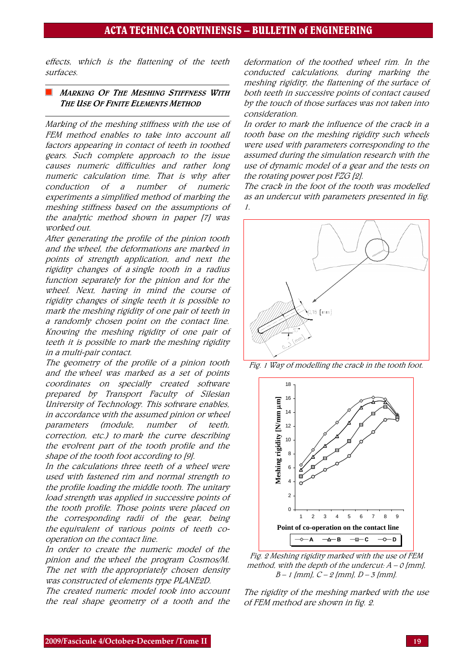effects, which is the flattening of the teeth surfaces.

#### **MARKING OF THE MESHING STIFFNESS WITH** THE USE OF FINITE ELEMENTS METHOD

Marking of the meshing stiffness with the use of FEM method enables to take into account all factors appearing in contact of teeth in toothed gears. Such complete approach to the issue causes numeric difficulties and rather long numeric calculation time. That is why after conduction of a number of numeric experiments a simplified method of marking the meshing stiffness based on the assumptions of the analytic method shown in paper [7] was worked out.

After generating the profile of the pinion tooth and the wheel, the deformations are marked in points of strength application, and next the rigidity changes of a single tooth in a radius function separately for the pinion and for the wheel. Next, having in mind the course of rigidity changes of single teeth it is possible to mark the meshing rigidity of one pair of teeth in a randomly chosen point on the contact line. Knowing the meshing rigidity of one pair of teeth it is possible to mark the meshing rigidity in a multi-pair contact.

The geometry of the profile of a pinion tooth and the wheel was marked as a set of points coordinates on specially created software prepared by Transport Faculty of Silesian University of Technology. This software enables, in accordance with the assumed pinion or wheel parameters (module, number of teeth, correction, etc.) to mark the curve describing the evolvent part of the tooth profile and the shape of the tooth foot according to [9].

In the calculations three teeth of a wheel were used with fastened rim and normal strength to the profile loading the middle tooth. The unitary load strength was applied in successive points of the tooth profile. Those points were placed on the corresponding radii of the gear, being the equivalent of various points of teeth cooperation on the contact line.

In order to create the numeric model of the pinion and the wheel the program Cosmos/M. The net with the appropriately chosen density was constructed of elements type PLANE2D.

The created numeric model took into account the real shape geometry of a tooth and the

deformation of the toothed wheel rim. In the conducted calculations, during marking the meshing rigidity, the flattening of the surface of both teeth in successive points of contact caused by the touch of those surfaces was not taken into consideration.

In order to mark the influence of the crack in a tooth base on the meshing rigidity such wheels were used with parameters corresponding to the assumed during the simulation research with the use of dynamic model of a gear and the tests on the rotating power post FZG [2].

The crack in the foot of the tooth was modelled as an undercut with parameters presented in fig. 1.



Fig. 1 Way of modelling the crack in the tooth foot.



Fig. 2 Meshing rigidity marked with the use of FEM method, with the depth of the undercut:  $A - O$  [mm],  $B-1$  [mm],  $C-2$  [mm],  $D-3$  [mm].

The rigidity of the meshing marked with the use of FEM method are shown in fig. 2.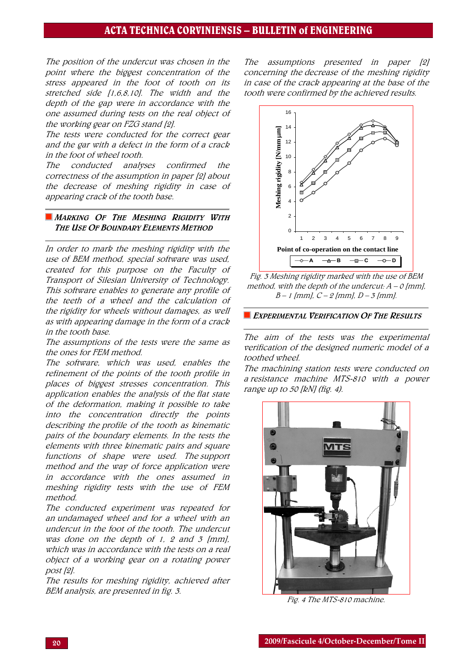## ACTA TECHNICA CORVINIENSIS – BULLETIN of ENGINEERING

The position of the undercut was chosen in the point where the biggest concentration of the stress appeared in the foot of tooth on its stretched side [1,6,8,10]. The width and the depth of the gap were in accordance with the one assumed during tests on the real object of the working gear on FZG stand [2].

The tests were conducted for the correct gear and the gar with a defect in the form of a crack in the foot of wheel tooth.

The conducted analyses confirmed the correctness of the assumption in paper [2] about the decrease of meshing rigidity in case of appearing crack of the tooth base.

#### **MARKING OF THE MESHING RIGIDITY WITH** THE USE OF BOUNDARY ELEMENTS METHOD

In order to mark the meshing rigidity with the use of BEM method, special software was used, created for this purpose on the Faculty of Transport of Silesian University of Technology. This software enables to generate any profile of the teeth of a wheel and the calculation of the rigidity for wheels without damages, as well as with appearing damage in the form of a crack in the tooth base.

The assumptions of the tests were the same as the ones for FEM method.

The software, which was used, enables the refinement of the points of the tooth profile in places of biggest stresses concentration. This application enables the analysis of the flat state of the deformation, making it possible to take into the concentration directly the points describing the profile of the tooth as kinematic pairs of the boundary elements. In the tests the elements with three kinematic pairs and square functions of shape were used. The support method and the way of force application were in accordance with the ones assumed in meshing rigidity tests with the use of FEM method.

The conducted experiment was repeated for an undamaged wheel and for a wheel with an undercut in the foot of the tooth. The undercut was done on the depth of 1, 2 and 3  $[mm]$ , which was in accordance with the tests on a real object of a working gear on a rotating power post [2].

The results for meshing rigidity, achieved after BEM analysis, are presented in fig. 3.

The assumptions presented in paper [2] concerning the decrease of the meshing rigidity in case of the crack appearing at the base of the tooth were confirmed by the achieved results.



Fig. 3 Meshing rigidity marked with the use of BEM method, with the depth of the undercut:  $A - O$  [mm],  $B-1$  [mm],  $C-2$  [mm],  $D-3$  [mm].

#### **EXPERIMENTAL VERIFICATION OF THE RESULTS**

The aim of the tests was the experimental verification of the designed numeric model of a toothed wheel.

The machining station tests were conducted on a resistance machine MTS-810 with a power range up to 50 [kN] (fig. 4).



Fig. 4 The MTS-810 machine.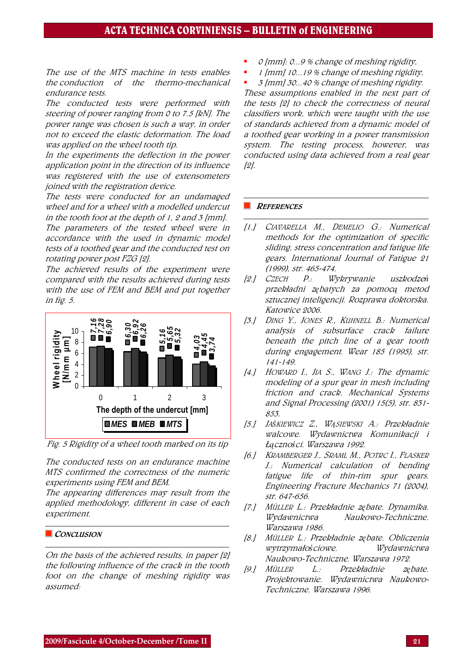The use of the MTS machine in tests enables the conduction of the thermo-mechanical endurance tests.

The conducted tests were performed with steering of power ranging from 0 to 7.5 [kN]. The power range was chosen is such a way, in order not to exceed the elastic deformation. The load was applied on the wheel tooth tip.

In the experiments the deflection in the power application point in the direction of its influence was registered with the use of extensometers joined with the registration device.

The tests were conducted for an undamaged wheel and for a wheel with a modelled undercut in the tooth foot at the depth of 1, 2 and 3 [mm].

The parameters of the tested wheel were in accordance with the used in dynamic model tests of a toothed gear and the conducted test on rotating power post FZG [2].

The achieved results of the experiment were compared with the results achieved during tests with the use of FEM and BEM and put together in fig. 5.





The conducted tests on an endurance machine MTS confirmed the correctness of the numeric experiments using FEM and BEM.

The appearing differences may result from the applied methodology, different in case of each experiment.

#### CONCLUSION

On the basis of the achieved results, in paper [2] the following influence of the crack in the tooth foot on the change of meshing rigidity was assumed:

- 0 [mm]: 0...9 % change of meshing rigidity,
- 1 [mm] 10...19 % change of meshing rigidity,
- 3 [mm] 30...40 % change of meshing rigidity.

These assumptions enabled in the next part of the tests [2] to check the correctness of neural classifiers work, which were taught with the use of standards achieved from a dynamic model of a toothed gear working in a power transmission system. The testing process, however, was conducted using data achieved from a real gear [2].

#### **REFERENCES**

- [1.] CIAVARELLA M., DEMELIO G.: Numerical methods for the optimization of specific sliding, stress concentration and fatigue life gears. International Journal of Fatigue 21 (1999), str. 465-474.
- [2.] CZECH P.: Wykrywanie uszkodze*ń* przekładni z*ę*batych za pomoc*ą* metod sztucznej inteligencji. Rozprawa doktorska. Katowice 2006.
- [3.] DING Y., JONES R., KUHNELL B.: Numerical analysis of subsurface crack failure beneath the pitch line of a gear tooth during engagement. Wear 185 (1995), str. 141-149.
- [4.] HOWARD I., JIA S., WANG J.; The dynamic modeling of a spur gear in mesh including friction and crack. Mechanical Systems and Signal Processing (2001) 15(5), str. 831- 853.
- [5.] JA*Ś*KIEWICZ Z., W*Ą*SIEWSKI A.: Przekładnie walcowe. Wydawnictwa Komunikacji i Ł*ą*czno*ś*ci. Warszawa 1992.
- [6.] KRAMBERGER J., SRAML M., POTRC I., FLASKER J.: Numerical calculation of bending fatigue life of thin-rim spur gears. Engineering Fracture Mechanics 71 (2004), str. 647-656.
- [7.] <sup>M</sup>ÜLLER L.: Przekładnie z*ę*bate. Dynamika. Wydawnictwa Naukowo-Techniczne. Warszawa 1986.
- [8.] <sup>M</sup>ÜLLER L.: Przekładnie z*ę*bate. Obliczenia wytrzymało*ś*ciowe. Wydawnictwa Naukowo-Techniczne. Warszawa 1972.
- [9.] <sup>M</sup>ÜLLER L.: Przekładnie z*ę*bate. Projektowanie. Wydawnictwa Naukowo-Techniczne. Warszawa 1996.